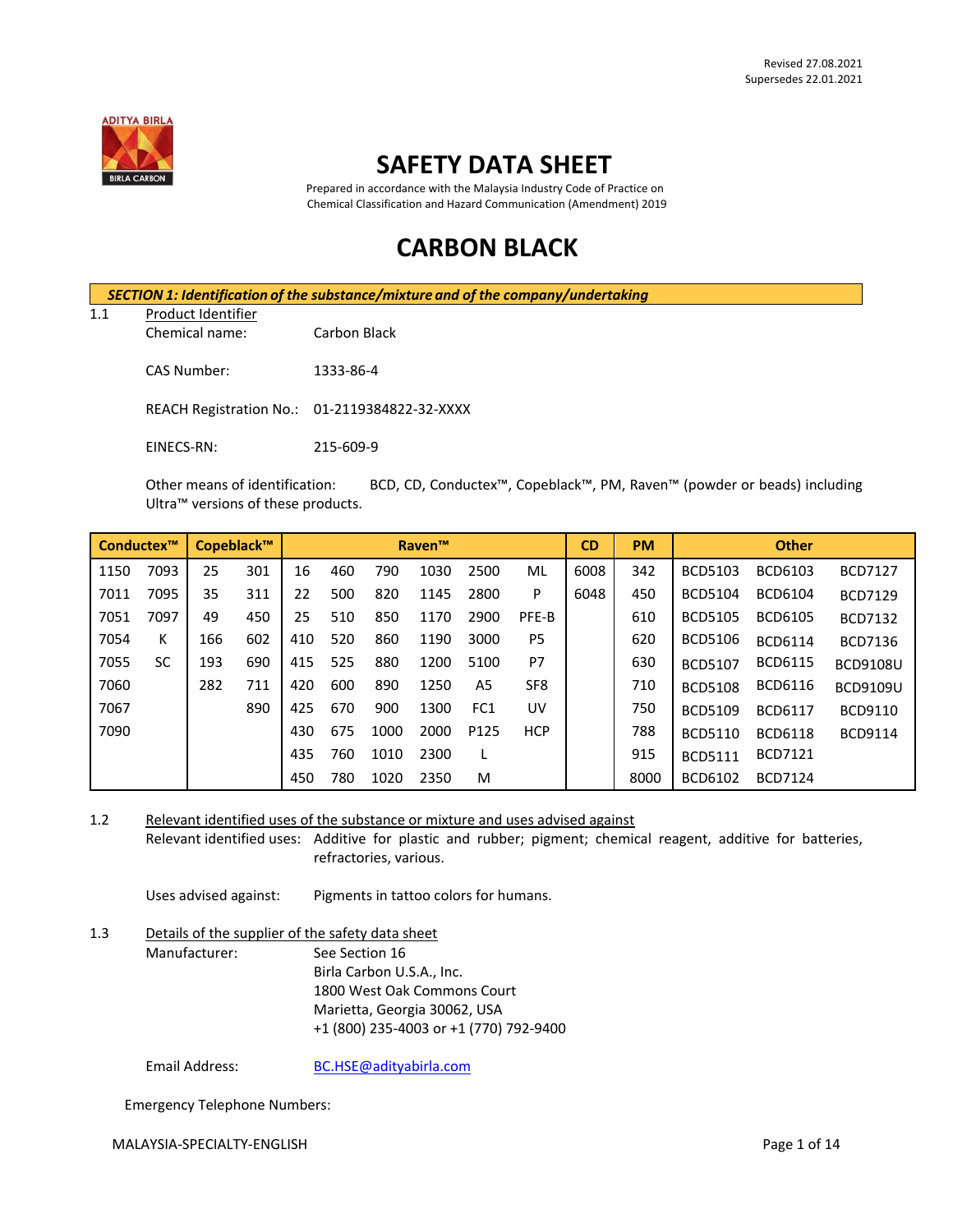

# **SAFETY DATA SHEET**

 Prepared in accordance with the Malaysia Industry Code of Practice on Chemical Classification and Hazard Communication (Amendment) 2019

# **CARBON BLACK**

|     | SECTION 1: Identification of the substance/mixture and of the company/undertaking |                                               |  |  |  |
|-----|-----------------------------------------------------------------------------------|-----------------------------------------------|--|--|--|
| 1.1 | Product Identifier                                                                |                                               |  |  |  |
|     | Chemical name:                                                                    | Carbon Black                                  |  |  |  |
|     | CAS Number:                                                                       | 1333-86-4                                     |  |  |  |
|     |                                                                                   | REACH Registration No.: 01-2119384822-32-XXXX |  |  |  |
|     | EINECS-RN:                                                                        | 215-609-9                                     |  |  |  |

Other means of identification: BCD, CD, Conductex™, Copeblack™, PM, Raven™ (powder or beads) including Ultra™ versions of these products.

| Conductex™ |           | Copeblack™ |     |     | <b>Raven™</b> |      |      |      | <b>CD</b>       | <b>PM</b> | <b>Other</b> |                |                |                 |
|------------|-----------|------------|-----|-----|---------------|------|------|------|-----------------|-----------|--------------|----------------|----------------|-----------------|
| 1150       | 7093      | 25         | 301 | 16  | 460           | 790  | 1030 | 2500 | ML              | 6008      | 342          | <b>BCD5103</b> | BCD6103        | <b>BCD7127</b>  |
| 7011       | 7095      | 35         | 311 | 22  | 500           | 820  | 1145 | 2800 | P               | 6048      | 450          | <b>BCD5104</b> | <b>BCD6104</b> | <b>BCD7129</b>  |
| 7051       | 7097      | 49         | 450 | 25  | 510           | 850  | 1170 | 2900 | PFE-B           |           | 610          | <b>BCD5105</b> | <b>BCD6105</b> | <b>BCD7132</b>  |
| 7054       | К         | 166        | 602 | 410 | 520           | 860  | 1190 | 3000 | P <sub>5</sub>  |           | 620          | <b>BCD5106</b> | <b>BCD6114</b> | BCD7136         |
| 7055       | <b>SC</b> | 193        | 690 | 415 | 525           | 880  | 1200 | 5100 | P7              |           | 630          | <b>BCD5107</b> | <b>BCD6115</b> | <b>BCD9108U</b> |
| 7060       |           | 282        | 711 | 420 | 600           | 890  | 1250 | A5   | SF <sub>8</sub> |           | 710          | <b>BCD5108</b> | <b>BCD6116</b> | <b>BCD9109U</b> |
| 7067       |           |            | 890 | 425 | 670           | 900  | 1300 | FC1  | UV              |           | 750          | <b>BCD5109</b> | <b>BCD6117</b> | <b>BCD9110</b>  |
| 7090       |           |            |     | 430 | 675           | 1000 | 2000 | P125 | <b>HCP</b>      |           | 788          | <b>BCD5110</b> | <b>BCD6118</b> | <b>BCD9114</b>  |
|            |           |            |     | 435 | 760           | 1010 | 2300 |      |                 |           | 915          | <b>BCD5111</b> | <b>BCD7121</b> |                 |
|            |           |            |     | 450 | 780           | 1020 | 2350 | M    |                 |           | 8000         | BCD6102        | <b>BCD7124</b> |                 |

1.2 Relevant identified uses of the substance or mixture and uses advised against Relevant identified uses: Additive for plastic and rubber; pigment; chemical reagent, additive for batteries, refractories, various.

Uses advised against: Pigments in tattoo colors for humans.

1.3 Details of the supplier of the safety data sheet Manufacturer: See Section 16 Birla Carbon U.S.A., Inc. 1800 West Oak Commons Court Marietta, Georgia 30062, USA +1 (800) 235-4003 or +1 (770) 792-9400

Email Address: [BC.HSE@adityabirla.com](mailto:BC.HSE@adityabirla.com)

Emergency Telephone Numbers: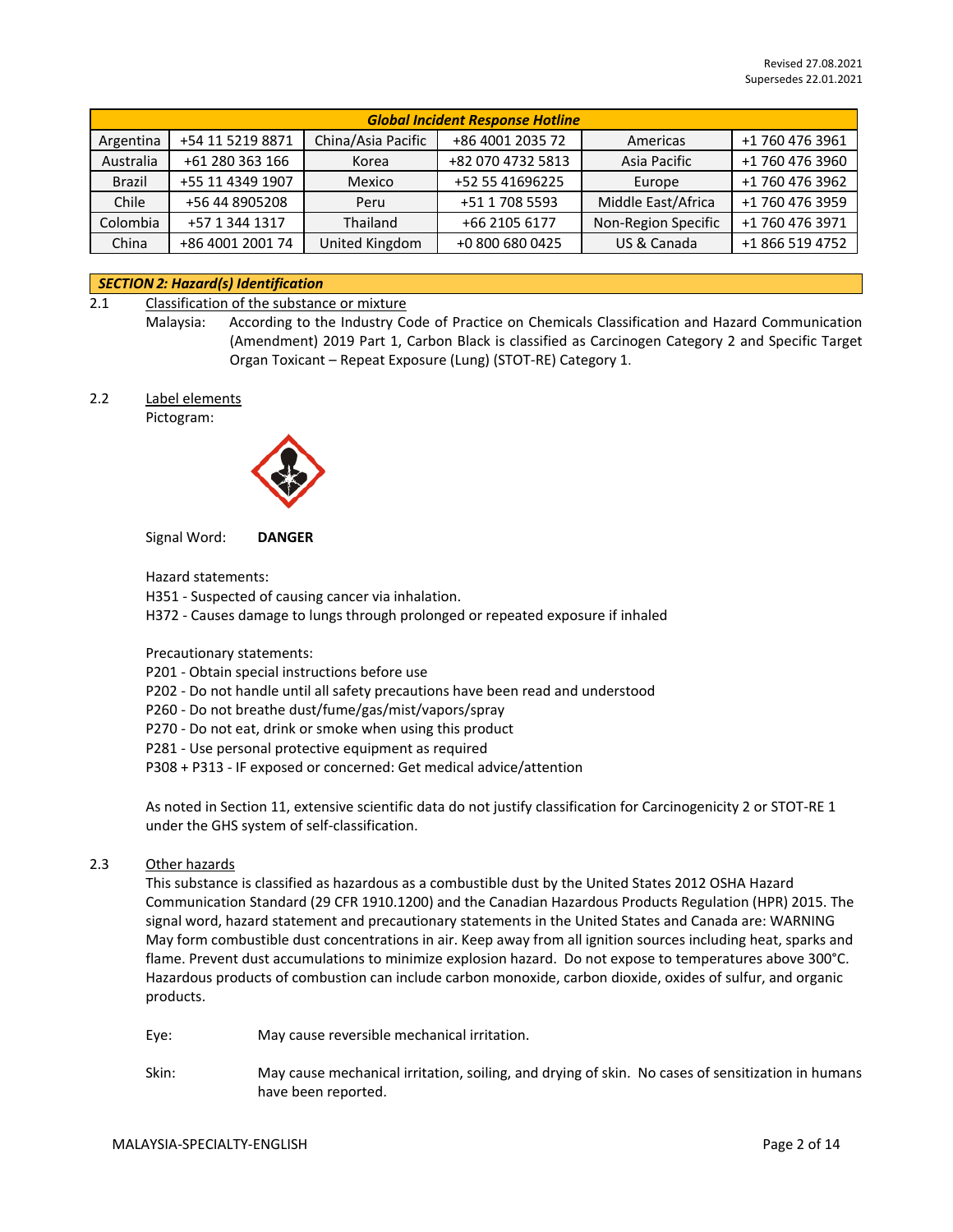|               | <b>Global Incident Response Hotline</b> |                    |                   |                     |                 |  |  |
|---------------|-----------------------------------------|--------------------|-------------------|---------------------|-----------------|--|--|
| Argentina     | +54 11 5219 8871                        | China/Asia Pacific | +86 4001 2035 72  | Americas            | +1 760 476 3961 |  |  |
| Australia     | +61 280 363 166                         | Korea              | +82 070 4732 5813 | Asia Pacific        | +1 760 476 3960 |  |  |
| <b>Brazil</b> | +55 11 4349 1907                        | Mexico             | +52 55 41696225   | Europe              | +1 760 476 3962 |  |  |
| Chile         | +56 44 8905208                          | Peru               | +51 1 708 5593    | Middle East/Africa  | +1 760 476 3959 |  |  |
| Colombia      | +57 1 344 1317                          | Thailand           | +66 2105 6177     | Non-Region Specific | +1 760 476 3971 |  |  |
| China         | +86 4001 2001 74                        | United Kingdom     | +0 800 680 0425   | US & Canada         | +1 866 519 4752 |  |  |

### *SECTION 2: Hazard(s) Identification*

- 2.1 Classification of the substance or mixture
	- Malaysia: According to the Industry Code of Practice on Chemicals Classification and Hazard Communication (Amendment) 2019 Part 1, Carbon Black is classified as Carcinogen Category 2 and Specific Target Organ Toxicant – Repeat Exposure (Lung) (STOT-RE) Category 1.
- 2.2 Label elements

Pictogram:



Signal Word: **DANGER**

Hazard statements:

- H351 Suspected of causing cancer via inhalation.
- H372 Causes damage to lungs through prolonged or repeated exposure if inhaled

Precautionary statements:

- P201 Obtain special instructions before use
- P202 Do not handle until all safety precautions have been read and understood
- P260 Do not breathe dust/fume/gas/mist/vapors/spray
- P270 Do not eat, drink or smoke when using this product
- P281 Use personal protective equipment as required
- P308 + P313 IF exposed or concerned: Get medical advice/attention

As noted in Section 11, extensive scientific data do not justify classification for Carcinogenicity 2 or STOT-RE 1 under the GHS system of self-classification.

## 2.3 Other hazards

This substance is classified as hazardous as a combustible dust by the United States 2012 OSHA Hazard Communication Standard (29 CFR 1910.1200) and the Canadian Hazardous Products Regulation (HPR) 2015. The signal word, hazard statement and precautionary statements in the United States and Canada are: WARNING May form combustible dust concentrations in air. Keep away from all ignition sources including heat, sparks and flame. Prevent dust accumulations to minimize explosion hazard. Do not expose to temperatures above 300°C. Hazardous products of combustion can include carbon monoxide, carbon dioxide, oxides of sulfur, and organic products.

- Eye: May cause reversible mechanical irritation.
- Skin: May cause mechanical irritation, soiling, and drying of skin. No cases of sensitization in humans have been reported.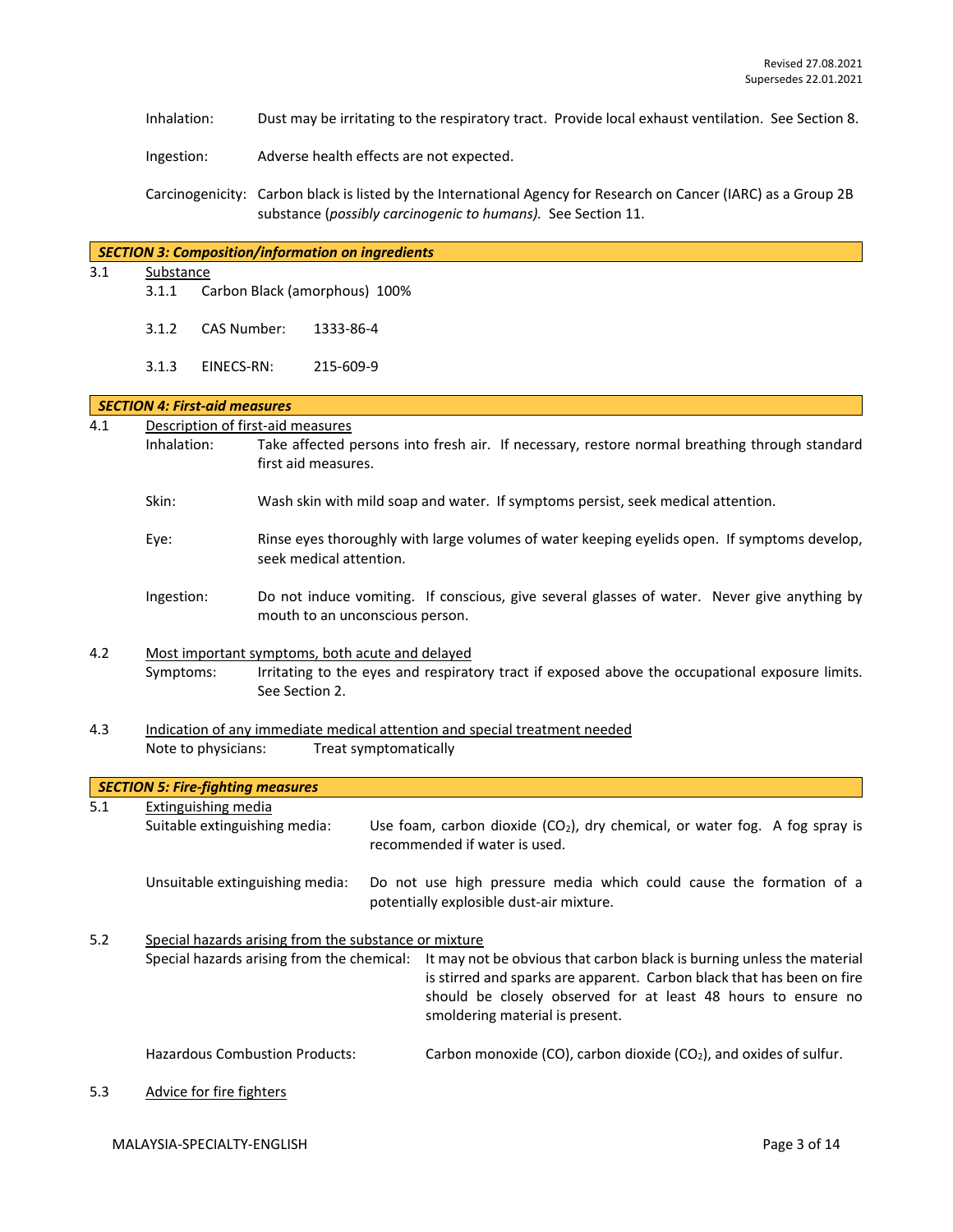Inhalation: Dust may be irritating to the respiratory tract. Provide local exhaust ventilation. See Section 8.

Ingestion: Adverse health effects are not expected.

Carcinogenicity: Carbon black is listed by the International Agency for Research on Cancer (IARC) as a Group 2B substance (*possibly carcinogenic to humans).* See Section 11.

#### *SECTION 3: Composition/information on ingredients*

3.1 Substance

- 3.1.1 Carbon Black (amorphous) 100%
- 3.1.2 CAS Number: 1333-86-4
- 3.1.3 EINECS-RN: 215-609-9

#### *SECTION 4: First-aid measures*

| 4.1 | Description of first-aid measures                           |                                                                   |                                                                                                                                |                                                                                                                                                                                                                                                                                                 |  |  |  |
|-----|-------------------------------------------------------------|-------------------------------------------------------------------|--------------------------------------------------------------------------------------------------------------------------------|-------------------------------------------------------------------------------------------------------------------------------------------------------------------------------------------------------------------------------------------------------------------------------------------------|--|--|--|
|     | Inhalation:                                                 | first aid measures.                                               |                                                                                                                                | Take affected persons into fresh air. If necessary, restore normal breathing through standard                                                                                                                                                                                                   |  |  |  |
|     | Skin:                                                       |                                                                   |                                                                                                                                | Wash skin with mild soap and water. If symptoms persist, seek medical attention.                                                                                                                                                                                                                |  |  |  |
|     | Eye:                                                        | seek medical attention.                                           |                                                                                                                                | Rinse eyes thoroughly with large volumes of water keeping eyelids open. If symptoms develop,                                                                                                                                                                                                    |  |  |  |
|     | Ingestion:                                                  |                                                                   | Do not induce vomiting. If conscious, give several glasses of water. Never give anything by<br>mouth to an unconscious person. |                                                                                                                                                                                                                                                                                                 |  |  |  |
| 4.2 | Symptoms:                                                   | Most important symptoms, both acute and delayed<br>See Section 2. |                                                                                                                                | Irritating to the eyes and respiratory tract if exposed above the occupational exposure limits.                                                                                                                                                                                                 |  |  |  |
| 4.3 | Note to physicians:                                         | Treat symptomatically                                             |                                                                                                                                | Indication of any immediate medical attention and special treatment needed                                                                                                                                                                                                                      |  |  |  |
|     | <b>SECTION 5: Fire-fighting measures</b>                    |                                                                   |                                                                                                                                |                                                                                                                                                                                                                                                                                                 |  |  |  |
| 5.1 | <b>Extinguishing media</b><br>Suitable extinguishing media: |                                                                   |                                                                                                                                | Use foam, carbon dioxide $(CO2)$ , dry chemical, or water fog. A fog spray is<br>recommended if water is used.                                                                                                                                                                                  |  |  |  |
|     | Unsuitable extinguishing media:                             |                                                                   |                                                                                                                                | Do not use high pressure media which could cause the formation of a<br>potentially explosible dust-air mixture.                                                                                                                                                                                 |  |  |  |
| 5.2 |                                                             | Special hazards arising from the substance or mixture             |                                                                                                                                | Special hazards arising from the chemical: It may not be obvious that carbon black is burning unless the material<br>is stirred and sparks are apparent. Carbon black that has been on fire<br>should be closely observed for at least 48 hours to ensure no<br>smoldering material is present. |  |  |  |
|     | <b>Hazardous Combustion Products:</b>                       |                                                                   |                                                                                                                                | Carbon monoxide (CO), carbon dioxide (CO <sub>2</sub> ), and oxides of sulfur.                                                                                                                                                                                                                  |  |  |  |

5.3 Advice for fire fighters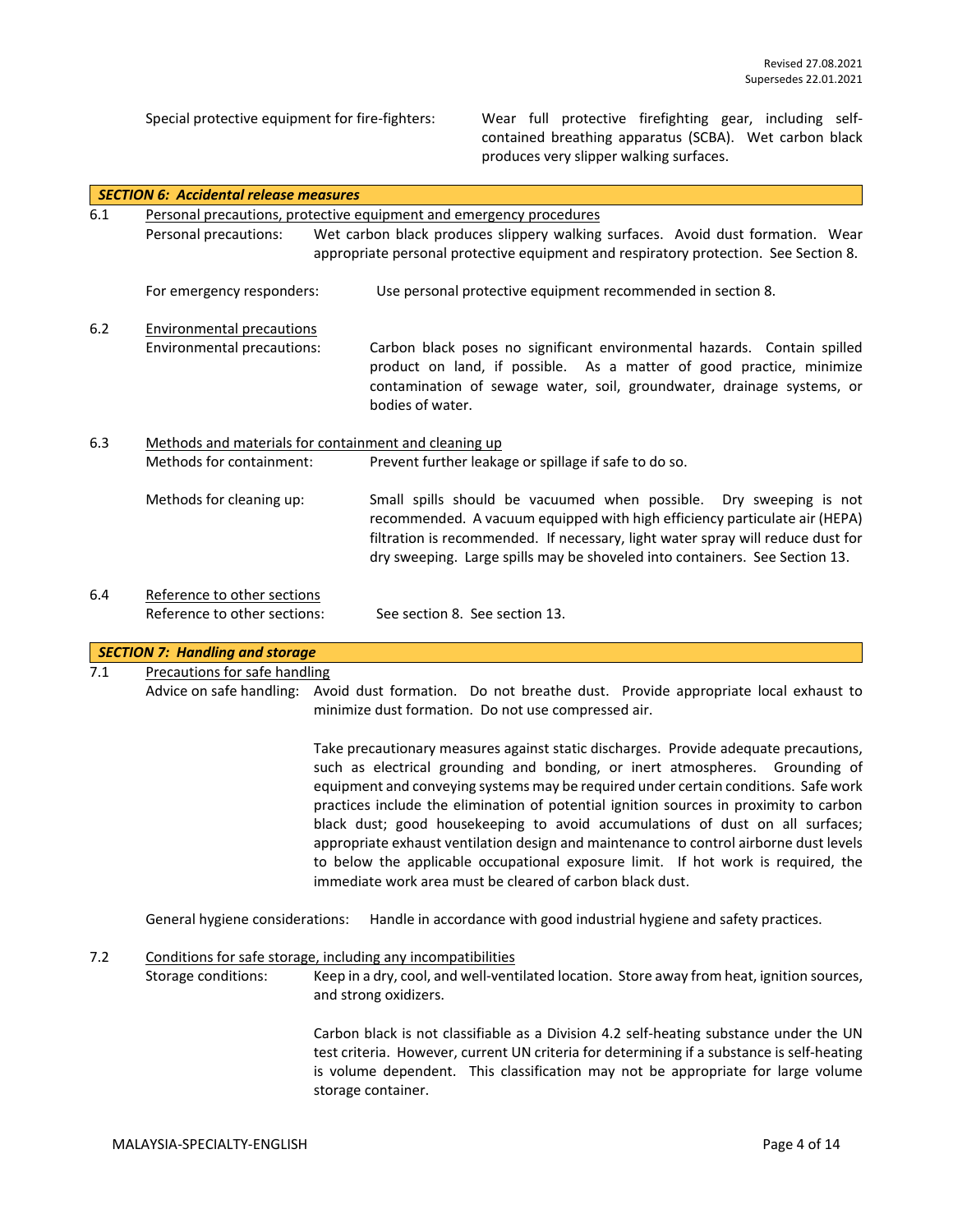Special protective equipment for fire-fighters: Wear full protective firefighting gear, including selfcontained breathing apparatus (SCBA). Wet carbon black produces very slipper walking surfaces.

|       | <b>SECTION 6: Accidental release measures</b>                |  |                                                                                                                                                                                                                                                                                                                                                                                                                                                                                                                                                                                                                                                                                    |
|-------|--------------------------------------------------------------|--|------------------------------------------------------------------------------------------------------------------------------------------------------------------------------------------------------------------------------------------------------------------------------------------------------------------------------------------------------------------------------------------------------------------------------------------------------------------------------------------------------------------------------------------------------------------------------------------------------------------------------------------------------------------------------------|
| 6.1   |                                                              |  | Personal precautions, protective equipment and emergency procedures                                                                                                                                                                                                                                                                                                                                                                                                                                                                                                                                                                                                                |
|       | Personal precautions:                                        |  | Wet carbon black produces slippery walking surfaces. Avoid dust formation. Wear<br>appropriate personal protective equipment and respiratory protection. See Section 8.                                                                                                                                                                                                                                                                                                                                                                                                                                                                                                            |
|       | For emergency responders:                                    |  | Use personal protective equipment recommended in section 8.                                                                                                                                                                                                                                                                                                                                                                                                                                                                                                                                                                                                                        |
| $6.2$ | <b>Environmental precautions</b>                             |  |                                                                                                                                                                                                                                                                                                                                                                                                                                                                                                                                                                                                                                                                                    |
|       | Environmental precautions:                                   |  | Carbon black poses no significant environmental hazards. Contain spilled<br>product on land, if possible. As a matter of good practice, minimize<br>contamination of sewage water, soil, groundwater, drainage systems, or<br>bodies of water.                                                                                                                                                                                                                                                                                                                                                                                                                                     |
| 6.3   | Methods and materials for containment and cleaning up        |  |                                                                                                                                                                                                                                                                                                                                                                                                                                                                                                                                                                                                                                                                                    |
|       | Methods for containment:                                     |  | Prevent further leakage or spillage if safe to do so.                                                                                                                                                                                                                                                                                                                                                                                                                                                                                                                                                                                                                              |
|       | Methods for cleaning up:                                     |  | Small spills should be vacuumed when possible.<br>Dry sweeping is not<br>recommended. A vacuum equipped with high efficiency particulate air (HEPA)<br>filtration is recommended. If necessary, light water spray will reduce dust for<br>dry sweeping. Large spills may be shoveled into containers. See Section 13.                                                                                                                                                                                                                                                                                                                                                              |
| 6.4   | Reference to other sections<br>Reference to other sections:  |  | See section 8. See section 13.                                                                                                                                                                                                                                                                                                                                                                                                                                                                                                                                                                                                                                                     |
|       | <b>SECTION 7: Handling and storage</b>                       |  |                                                                                                                                                                                                                                                                                                                                                                                                                                                                                                                                                                                                                                                                                    |
| 7.1   | <b>Precautions for safe handling</b>                         |  |                                                                                                                                                                                                                                                                                                                                                                                                                                                                                                                                                                                                                                                                                    |
|       |                                                              |  | Advice on safe handling: Avoid dust formation. Do not breathe dust. Provide appropriate local exhaust to<br>minimize dust formation. Do not use compressed air.                                                                                                                                                                                                                                                                                                                                                                                                                                                                                                                    |
|       |                                                              |  | Take precautionary measures against static discharges. Provide adequate precautions,<br>such as electrical grounding and bonding, or inert atmospheres. Grounding of<br>equipment and conveying systems may be required under certain conditions. Safe work<br>practices include the elimination of potential ignition sources in proximity to carbon<br>black dust; good housekeeping to avoid accumulations of dust on all surfaces;<br>appropriate exhaust ventilation design and maintenance to control airborne dust levels<br>to below the applicable occupational exposure limit. If hot work is required, the<br>immediate work area must be cleared of carbon black dust. |
|       | General hygiene considerations:                              |  | Handle in accordance with good industrial hygiene and safety practices.                                                                                                                                                                                                                                                                                                                                                                                                                                                                                                                                                                                                            |
| 7.2   | Conditions for safe storage, including any incompatibilities |  |                                                                                                                                                                                                                                                                                                                                                                                                                                                                                                                                                                                                                                                                                    |
|       | Storage conditions:                                          |  | Keep in a dry, cool, and well-ventilated location. Store away from heat, ignition sources,<br>and strong oxidizers.                                                                                                                                                                                                                                                                                                                                                                                                                                                                                                                                                                |
|       |                                                              |  | Carbon black is not classifiable as a Division 4.2 self-heating substance under the UN<br>test criteria. However, current UN criteria for determining if a substance is self-heating<br>is volume dependent. This classification may not be appropriate for large volume<br>storage container.                                                                                                                                                                                                                                                                                                                                                                                     |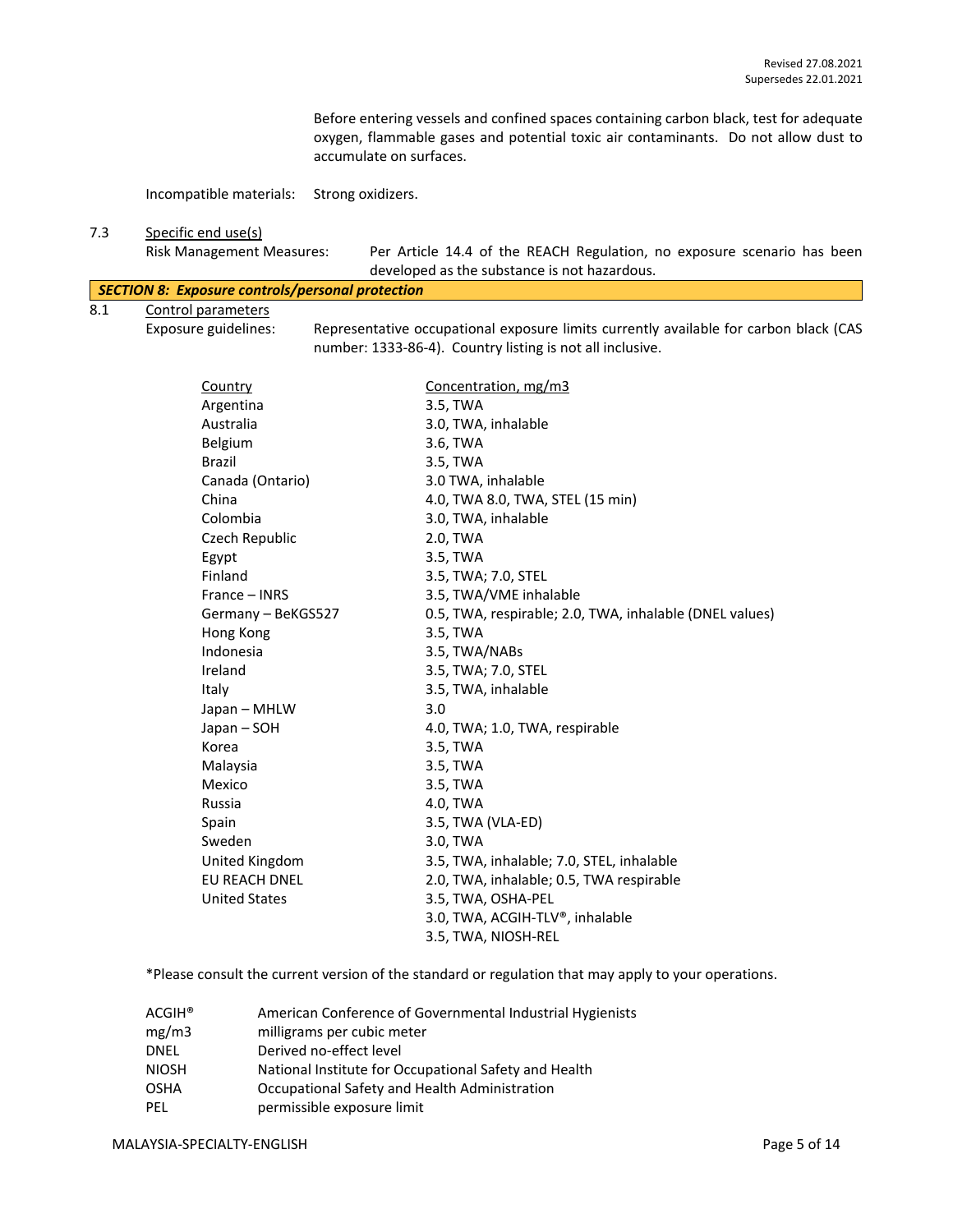Before entering vessels and confined spaces containing carbon black, test for adequate oxygen, flammable gases and potential toxic air contaminants. Do not allow dust to accumulate on surfaces.

Incompatible materials: Strong oxidizers.

# 7.3 Specific end use(s)

Risk Management Measures: Per Article 14.4 of the REACH Regulation, no exposure scenario has been developed as the substance is not hazardous.

|     | SECTION 8: Exposure controls/personal protection |                                                                                                                                                    |  |  |  |  |
|-----|--------------------------------------------------|----------------------------------------------------------------------------------------------------------------------------------------------------|--|--|--|--|
| 8.1 | Control parameters                               |                                                                                                                                                    |  |  |  |  |
|     | Exposure guidelines:                             | Representative occupational exposure limits currently available for carbon black (CAS<br>number: 1333-86-4). Country listing is not all inclusive. |  |  |  |  |

| Country              | Concentration, mg/m3                                    |
|----------------------|---------------------------------------------------------|
| Argentina            | 3.5, TWA                                                |
| Australia            | 3.0, TWA, inhalable                                     |
| Belgium              | 3.6, TWA                                                |
| <b>Brazil</b>        | 3.5, TWA                                                |
| Canada (Ontario)     | 3.0 TWA, inhalable                                      |
| China                | 4.0, TWA 8.0, TWA, STEL (15 min)                        |
| Colombia             | 3.0, TWA, inhalable                                     |
| Czech Republic       | 2.0, TWA                                                |
| Egypt                | 3.5, TWA                                                |
| Finland              | 3.5, TWA; 7.0, STEL                                     |
| France – INRS        | 3.5, TWA/VME inhalable                                  |
| Germany - BeKGS527   | 0.5, TWA, respirable; 2.0, TWA, inhalable (DNEL values) |
| Hong Kong            | 3.5, TWA                                                |
| Indonesia            | 3.5, TWA/NABs                                           |
| Ireland              | 3.5, TWA; 7.0, STEL                                     |
| Italy                | 3.5, TWA, inhalable                                     |
| Japan - MHLW         | 3.0                                                     |
| Japan - SOH          | 4.0, TWA; 1.0, TWA, respirable                          |
| Korea                | 3.5, TWA                                                |
| Malaysia             | 3.5, TWA                                                |
| Mexico               | 3.5, TWA                                                |
| Russia               | 4.0, TWA                                                |
| Spain                | 3.5, TWA (VLA-ED)                                       |
| Sweden               | 3.0, TWA                                                |
| United Kingdom       | 3.5, TWA, inhalable; 7.0, STEL, inhalable               |
| <b>EU REACH DNEL</b> | 2.0, TWA, inhalable; 0.5, TWA respirable                |
| <b>United States</b> | 3.5, TWA, OSHA-PEL                                      |
|                      | 3.0, TWA, ACGIH-TLV®, inhalable                         |
|                      | 3.5, TWA, NIOSH-REL                                     |
|                      |                                                         |

\*Please consult the current version of the standard or regulation that may apply to your operations.

| $ACGIH^*$    | American Conference of Governmental Industrial Hygienists |
|--------------|-----------------------------------------------------------|
| mg/m3        | milligrams per cubic meter                                |
| DNEL         | Derived no-effect level                                   |
| <b>NIOSH</b> | National Institute for Occupational Safety and Health     |
| <b>OSHA</b>  | Occupational Safety and Health Administration             |
| PEL          | permissible exposure limit                                |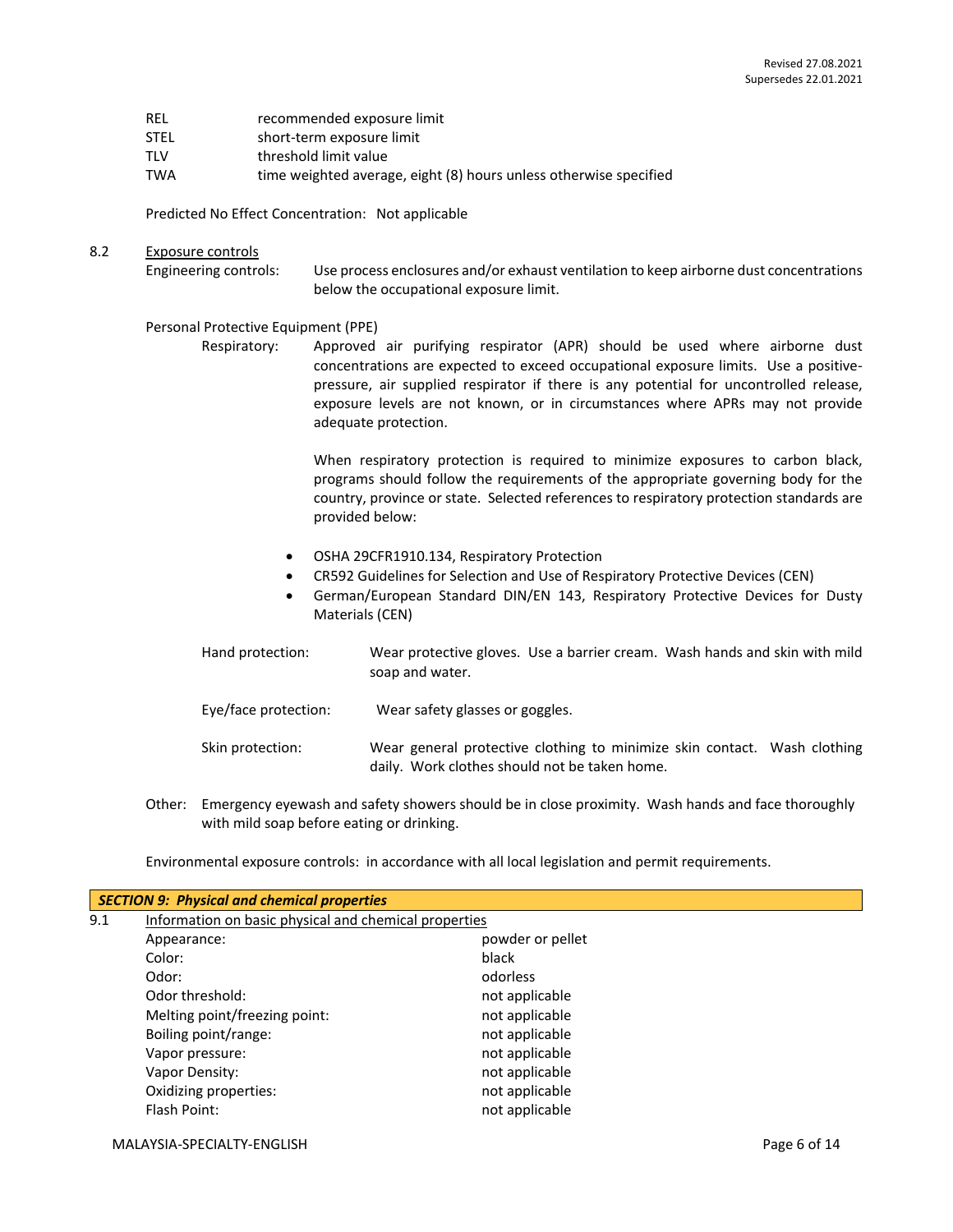| REL | recommended exposure limit |
|-----|----------------------------|
|     |                            |

- STEL short-term exposure limit
- TLV threshold limit value
- TWA time weighted average, eight (8) hours unless otherwise specified

Predicted No Effect Concentration: Not applicable

#### 8.2 Exposure controls

Engineering controls: Use process enclosures and/or exhaust ventilation to keep airborne dust concentrations below the occupational exposure limit.

#### Personal Protective Equipment (PPE)

Respiratory: Approved air purifying respirator (APR) should be used where airborne dust concentrations are expected to exceed occupational exposure limits. Use a positivepressure, air supplied respirator if there is any potential for uncontrolled release, exposure levels are not known, or in circumstances where APRs may not provide adequate protection.

> When respiratory protection is required to minimize exposures to carbon black, programs should follow the requirements of the appropriate governing body for the country, province or state. Selected references to respiratory protection standards are provided below:

- OSHA 29CFR1910.134, Respiratory Protection
- CR592 Guidelines for Selection and Use of Respiratory Protective Devices (CEN)
- German/European Standard DIN/EN 143, Respiratory Protective Devices for Dusty Materials (CEN)

| Hand protection:     | Wear protective gloves. Use a barrier cream. Wash hands and skin with mild<br>soap and water.                             |
|----------------------|---------------------------------------------------------------------------------------------------------------------------|
| Eye/face protection: | Wear safety glasses or goggles.                                                                                           |
| Skin protection:     | Wear general protective clothing to minimize skin contact. Wash clothing<br>daily. Work clothes should not be taken home. |

Other: Emergency eyewash and safety showers should be in close proximity. Wash hands and face thoroughly with mild soap before eating or drinking.

Environmental exposure controls: in accordance with all local legislation and permit requirements.

|     | <b>SECTION 9: Physical and chemical properties</b>    |                  |  |  |  |  |  |
|-----|-------------------------------------------------------|------------------|--|--|--|--|--|
| 9.1 | Information on basic physical and chemical properties |                  |  |  |  |  |  |
|     | Appearance:                                           | powder or pellet |  |  |  |  |  |
|     | Color:                                                | black            |  |  |  |  |  |
|     | Odor:                                                 | odorless         |  |  |  |  |  |
|     | Odor threshold:                                       | not applicable   |  |  |  |  |  |
|     | Melting point/freezing point:                         | not applicable   |  |  |  |  |  |
|     | Boiling point/range:                                  | not applicable   |  |  |  |  |  |
|     | Vapor pressure:                                       | not applicable   |  |  |  |  |  |
|     | Vapor Density:                                        | not applicable   |  |  |  |  |  |
|     | Oxidizing properties:                                 | not applicable   |  |  |  |  |  |
|     | Flash Point:                                          | not applicable   |  |  |  |  |  |
|     |                                                       |                  |  |  |  |  |  |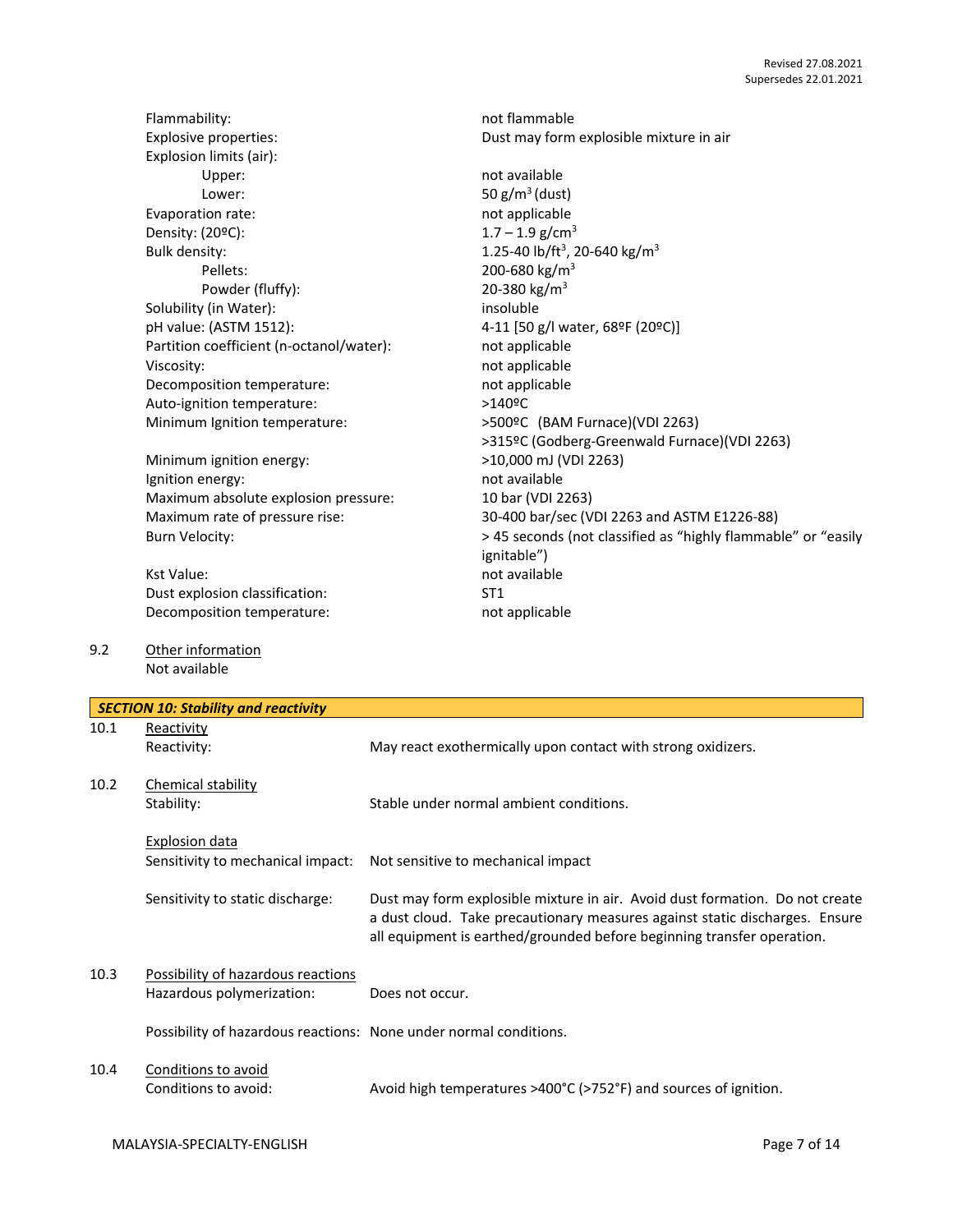| Flammability:                            | not flammable                                                 |
|------------------------------------------|---------------------------------------------------------------|
| Explosive properties:                    | Dust may form explosible mixture in air                       |
| Explosion limits (air):                  |                                                               |
| Upper:                                   | not available                                                 |
| Lower:                                   | 50 $g/m^3$ (dust)                                             |
| Evaporation rate:                        | not applicable                                                |
| Density: (20°C):                         | $1.7 - 1.9$ g/cm <sup>3</sup>                                 |
| <b>Bulk density:</b>                     | 1.25-40 lb/ft <sup>3</sup> , 20-640 kg/m <sup>3</sup>         |
| Pellets:                                 | 200-680 kg/m <sup>3</sup>                                     |
| Powder (fluffy):                         | 20-380 kg/m <sup>3</sup>                                      |
| Solubility (in Water):                   | insoluble                                                     |
| pH value: (ASTM 1512):                   | 4-11 [50 g/l water, 68ºF (20ºC)]                              |
| Partition coefficient (n-octanol/water): | not applicable                                                |
| Viscosity:                               | not applicable                                                |
| Decomposition temperature:               | not applicable                                                |
| Auto-ignition temperature:               | $>140$ <sup>o</sup> C                                         |
| Minimum Ignition temperature:            | >500ºC (BAM Furnace)(VDI 2263)                                |
|                                          | >315ºC (Godberg-Greenwald Furnace)(VDI 2263)                  |
| Minimum ignition energy:                 | >10,000 mJ (VDI 2263)                                         |
| Ignition energy:                         | not available                                                 |
| Maximum absolute explosion pressure:     | 10 bar (VDI 2263)                                             |
| Maximum rate of pressure rise:           | 30-400 bar/sec (VDI 2263 and ASTM E1226-88)                   |
| <b>Burn Velocity:</b>                    | > 45 seconds (not classified as "highly flammable" or "easily |
|                                          | ignitable")                                                   |
| Kst Value:                               | not available                                                 |
| Dust explosion classification:           | ST <sub>1</sub>                                               |
| Decomposition temperature:               | not applicable                                                |
|                                          |                                                               |
| Other information                        |                                                               |

| 9.2 | Other information |
|-----|-------------------|
|     | Not available     |

|      | <b>SECTION 10: Stability and reactivity</b>                       |                                                                                                                                                                                                                                       |
|------|-------------------------------------------------------------------|---------------------------------------------------------------------------------------------------------------------------------------------------------------------------------------------------------------------------------------|
| 10.1 | Reactivity<br>Reactivity:                                         | May react exothermically upon contact with strong oxidizers.                                                                                                                                                                          |
| 10.2 | Chemical stability<br>Stability:                                  | Stable under normal ambient conditions.                                                                                                                                                                                               |
|      | Explosion data<br>Sensitivity to mechanical impact:               | Not sensitive to mechanical impact                                                                                                                                                                                                    |
|      | Sensitivity to static discharge:                                  | Dust may form explosible mixture in air. Avoid dust formation. Do not create<br>a dust cloud. Take precautionary measures against static discharges. Ensure<br>all equipment is earthed/grounded before beginning transfer operation. |
| 10.3 | Possibility of hazardous reactions<br>Hazardous polymerization:   | Does not occur.                                                                                                                                                                                                                       |
|      | Possibility of hazardous reactions: None under normal conditions. |                                                                                                                                                                                                                                       |
| 10.4 | Conditions to avoid<br>Conditions to avoid:                       | Avoid high temperatures >400°C (>752°F) and sources of ignition.                                                                                                                                                                      |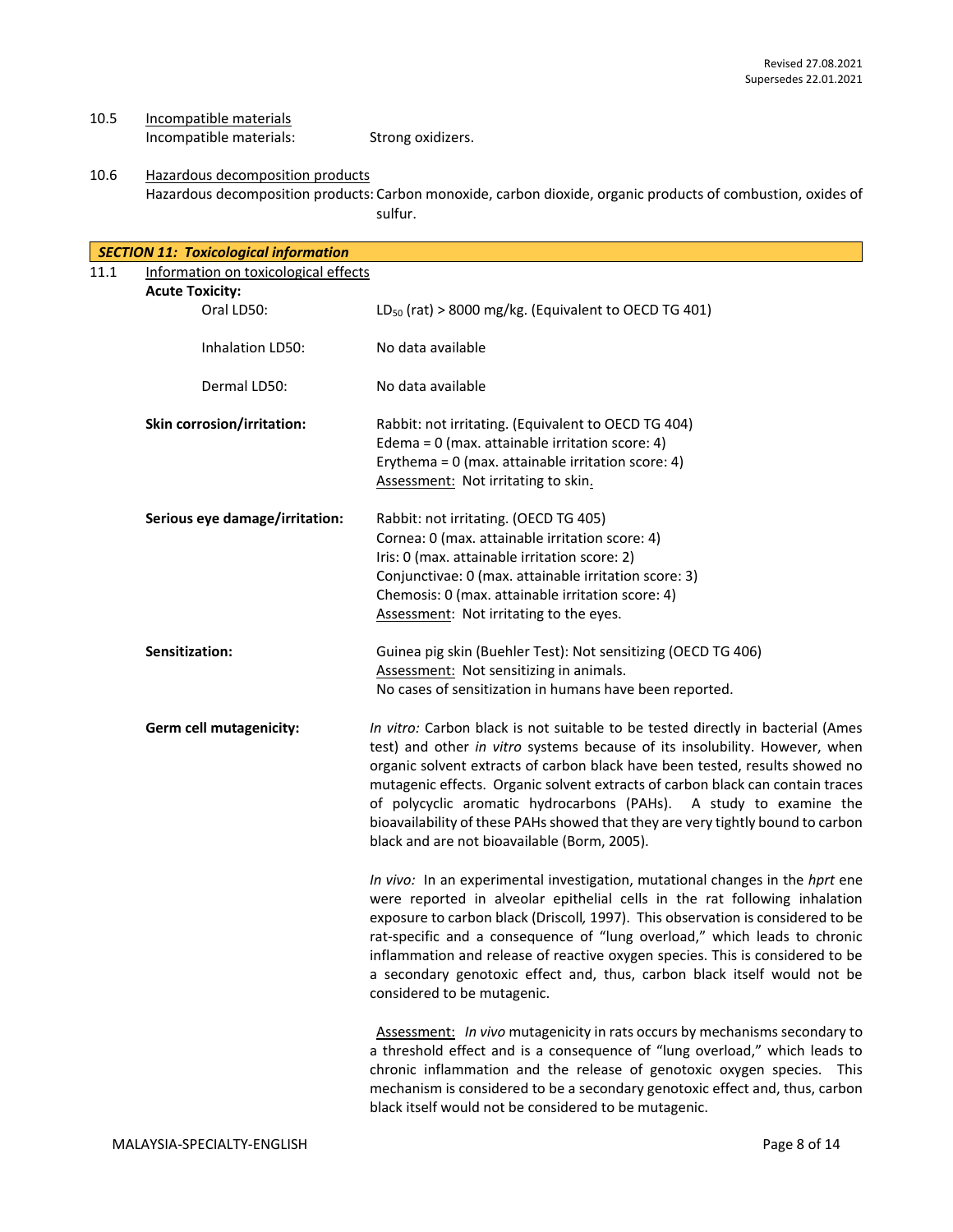10.5 Incompatible materials Incompatible materials: Strong oxidizers.

10.6 Hazardous decomposition products Hazardous decomposition products: Carbon monoxide, carbon dioxide, organic products of combustion, oxides of sulfur.

| <b>SECTION 11: Toxicological information</b> |                                                                                                                                                                                                                                                                                                                                                                                                                                                                                                                                           |
|----------------------------------------------|-------------------------------------------------------------------------------------------------------------------------------------------------------------------------------------------------------------------------------------------------------------------------------------------------------------------------------------------------------------------------------------------------------------------------------------------------------------------------------------------------------------------------------------------|
| 11.1<br>Information on toxicological effects |                                                                                                                                                                                                                                                                                                                                                                                                                                                                                                                                           |
| <b>Acute Toxicity:</b>                       |                                                                                                                                                                                                                                                                                                                                                                                                                                                                                                                                           |
| Oral LD50:                                   | $LD_{50}$ (rat) > 8000 mg/kg. (Equivalent to OECD TG 401)                                                                                                                                                                                                                                                                                                                                                                                                                                                                                 |
| Inhalation LD50:                             | No data available                                                                                                                                                                                                                                                                                                                                                                                                                                                                                                                         |
| Dermal LD50:                                 | No data available                                                                                                                                                                                                                                                                                                                                                                                                                                                                                                                         |
| Skin corrosion/irritation:                   | Rabbit: not irritating. (Equivalent to OECD TG 404)<br>Edema = $0$ (max. attainable irritation score: 4)<br>Erythema = $0$ (max. attainable irritation score: 4)<br>Assessment: Not irritating to skin.                                                                                                                                                                                                                                                                                                                                   |
| Serious eye damage/irritation:               | Rabbit: not irritating. (OECD TG 405)<br>Cornea: 0 (max. attainable irritation score: 4)<br>Iris: 0 (max. attainable irritation score: 2)<br>Conjunctivae: 0 (max. attainable irritation score: 3)<br>Chemosis: 0 (max. attainable irritation score: 4)<br>Assessment: Not irritating to the eyes.                                                                                                                                                                                                                                        |
| Sensitization:                               | Guinea pig skin (Buehler Test): Not sensitizing (OECD TG 406)<br>Assessment: Not sensitizing in animals.<br>No cases of sensitization in humans have been reported.                                                                                                                                                                                                                                                                                                                                                                       |
| Germ cell mutagenicity:                      | In vitro: Carbon black is not suitable to be tested directly in bacterial (Ames<br>test) and other in vitro systems because of its insolubility. However, when<br>organic solvent extracts of carbon black have been tested, results showed no<br>mutagenic effects. Organic solvent extracts of carbon black can contain traces<br>of polycyclic aromatic hydrocarbons (PAHs). A study to examine the<br>bioavailability of these PAHs showed that they are very tightly bound to carbon<br>black and are not bioavailable (Borm, 2005). |
|                                              | In vivo: In an experimental investigation, mutational changes in the hprt ene<br>were reported in alveolar epithelial cells in the rat following inhalation<br>exposure to carbon black (Driscoll, 1997). This observation is considered to be<br>rat-specific and a consequence of "lung overload," which leads to chronic<br>inflammation and release of reactive oxygen species. This is considered to be<br>a secondary genotoxic effect and, thus, carbon black itself would not be<br>considered to be mutagenic.                   |
|                                              | Assessment: In vivo mutagenicity in rats occurs by mechanisms secondary to<br>a threshold effect and is a consequence of "lung overload," which leads to<br>chronic inflammation and the release of genotoxic oxygen species. This<br>mechanism is considered to be a secondary genotoxic effect and, thus, carbon<br>black itself would not be considered to be mutagenic.                                                                                                                                                               |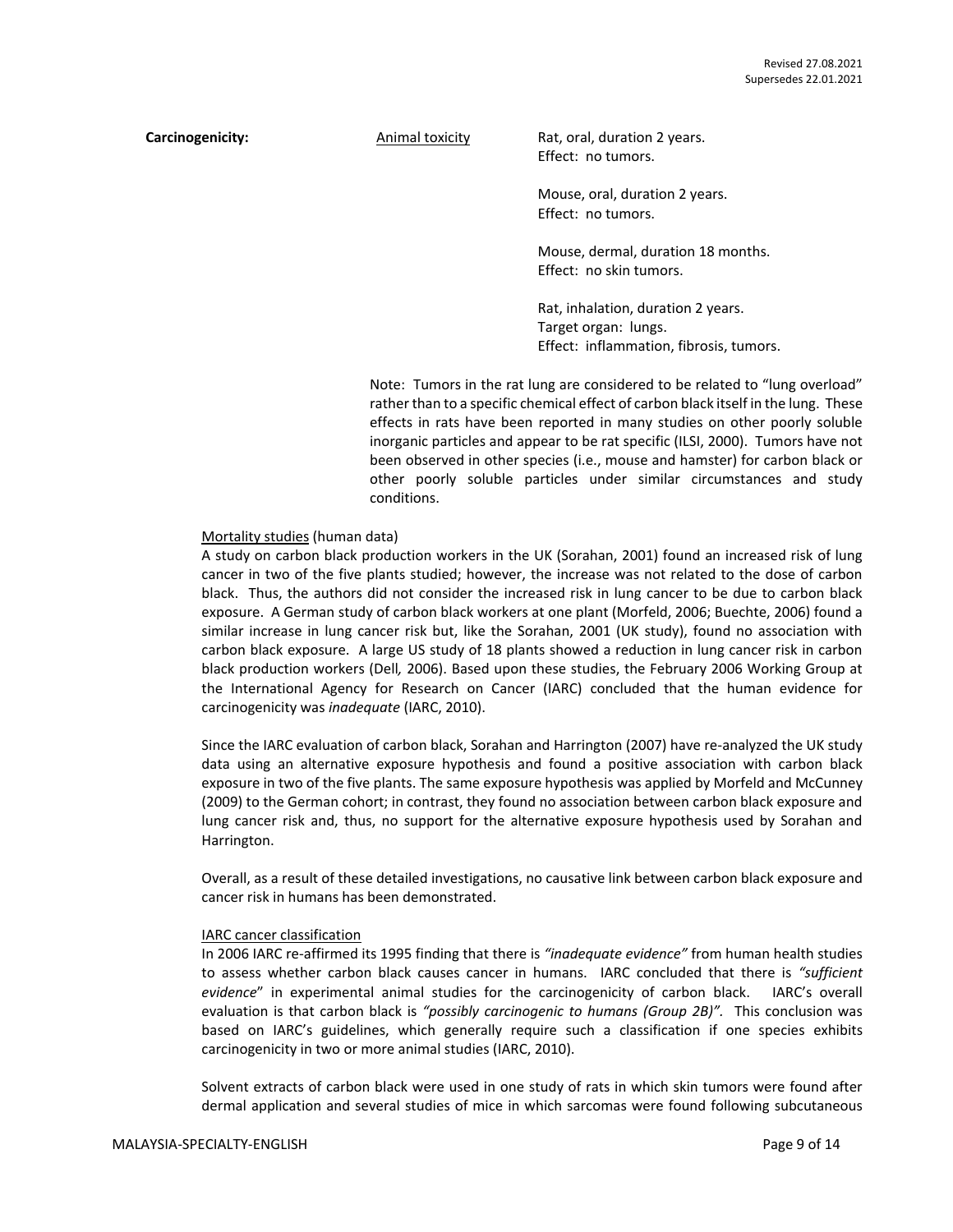**Carcinogenicity:** Animal toxicity Rat, oral, duration 2 years. Effect: no tumors.

> Mouse, oral, duration 2 years. Effect: no tumors.

Mouse, dermal, duration 18 months. Effect: no skin tumors.

Rat, inhalation, duration 2 years. Target organ: lungs. Effect: inflammation, fibrosis, tumors.

Note: Tumors in the rat lung are considered to be related to "lung overload" rather than to a specific chemical effect of carbon black itself in the lung. These effects in rats have been reported in many studies on other poorly soluble inorganic particles and appear to be rat specific (ILSI, 2000). Tumors have not been observed in other species (i.e., mouse and hamster) for carbon black or other poorly soluble particles under similar circumstances and study conditions.

#### Mortality studies (human data)

A study on carbon black production workers in the UK (Sorahan, 2001) found an increased risk of lung cancer in two of the five plants studied; however, the increase was not related to the dose of carbon black. Thus, the authors did not consider the increased risk in lung cancer to be due to carbon black exposure. A German study of carbon black workers at one plant (Morfeld, 2006; Buechte, 2006) found a similar increase in lung cancer risk but, like the Sorahan, 2001 (UK study), found no association with carbon black exposure. A large US study of 18 plants showed a reduction in lung cancer risk in carbon black production workers (Dell*,* 2006). Based upon these studies, the February 2006 Working Group at the International Agency for Research on Cancer (IARC) concluded that the human evidence for carcinogenicity was *inadequate* (IARC, 2010).

Since the IARC evaluation of carbon black, Sorahan and Harrington (2007) have re-analyzed the UK study data using an alternative exposure hypothesis and found a positive association with carbon black exposure in two of the five plants. The same exposure hypothesis was applied by Morfeld and McCunney (2009) to the German cohort; in contrast, they found no association between carbon black exposure and lung cancer risk and, thus, no support for the alternative exposure hypothesis used by Sorahan and Harrington.

Overall, as a result of these detailed investigations, no causative link between carbon black exposure and cancer risk in humans has been demonstrated.

#### IARC cancer classification

In 2006 IARC re-affirmed its 1995 finding that there is *"inadequate evidence"* from human health studies to assess whether carbon black causes cancer in humans. IARC concluded that there is *"sufficient evidence*" in experimental animal studies for the carcinogenicity of carbon black. IARC's overall evaluation is that carbon black is *"possibly carcinogenic to humans (Group 2B)".* This conclusion was based on IARC's guidelines, which generally require such a classification if one species exhibits carcinogenicity in two or more animal studies (IARC, 2010).

Solvent extracts of carbon black were used in one study of rats in which skin tumors were found after dermal application and several studies of mice in which sarcomas were found following subcutaneous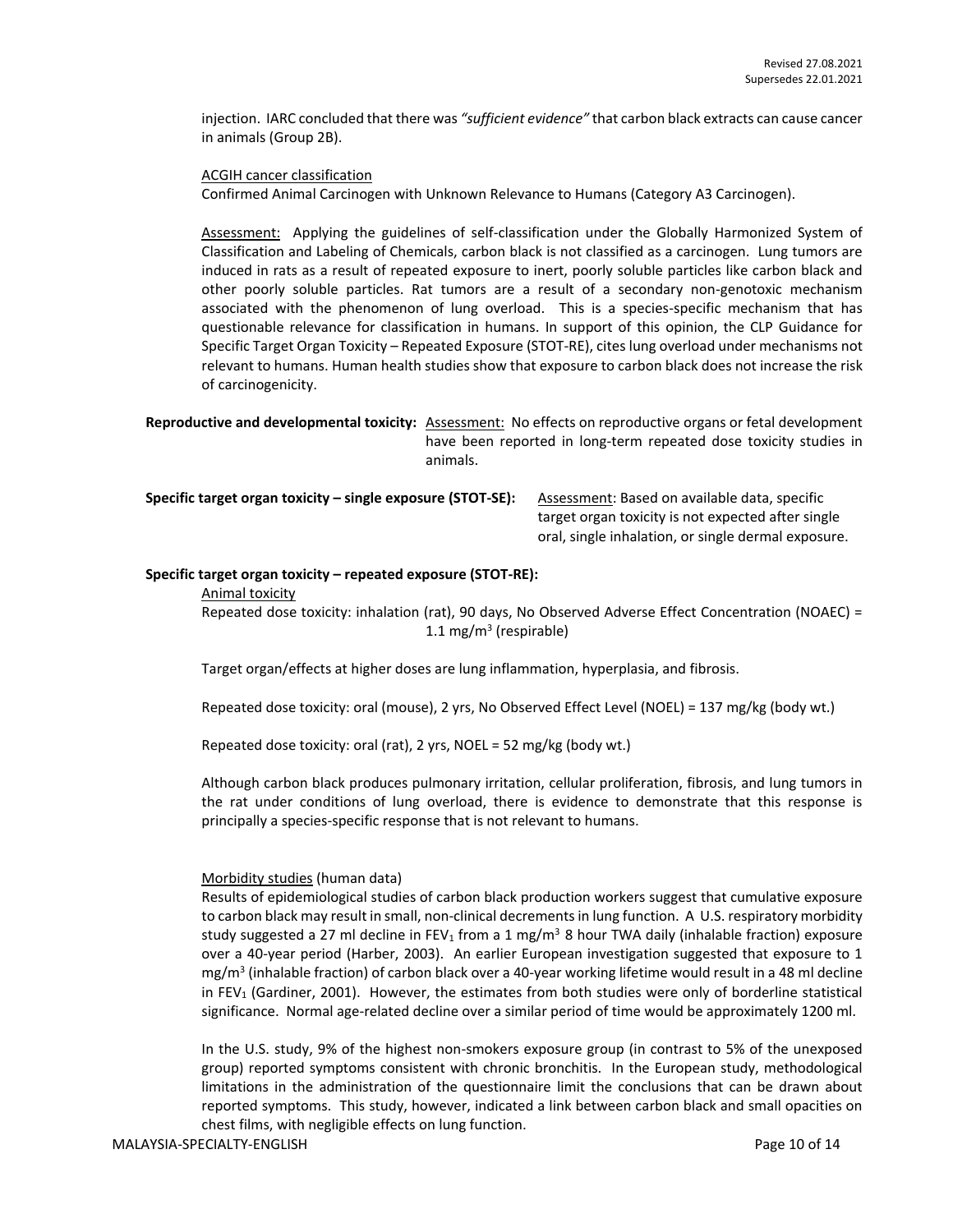injection. IARC concluded that there was *"sufficient evidence"* that carbon black extracts can cause cancer in animals (Group 2B).

ACGIH cancer classification

Confirmed Animal Carcinogen with Unknown Relevance to Humans (Category A3 Carcinogen).

Assessment: Applying the guidelines of self-classification under the Globally Harmonized System of Classification and Labeling of Chemicals, carbon black is not classified as a carcinogen. Lung tumors are induced in rats as a result of repeated exposure to inert, poorly soluble particles like carbon black and other poorly soluble particles. Rat tumors are a result of a secondary non-genotoxic mechanism associated with the phenomenon of lung overload. This is a species-specific mechanism that has questionable relevance for classification in humans. In support of this opinion, the CLP Guidance for Specific Target Organ Toxicity – Repeated Exposure (STOT-RE), cites lung overload under mechanisms not relevant to humans. Human health studies show that exposure to carbon black does not increase the risk of carcinogenicity.

**Reproductive and developmental toxicity:** Assessment: No effects on reproductive organs or fetal development have been reported in long-term repeated dose toxicity studies in animals.

**Specific target organ toxicity - single exposure (STOT-SE):** Assessment: Based on available data, specific

target organ toxicity is not expected after single oral, single inhalation, or single dermal exposure.

#### **Specific target organ toxicity – repeated exposure (STOT-RE):**

Animal toxicity

Repeated dose toxicity: inhalation (rat), 90 days, No Observed Adverse Effect Concentration (NOAEC) = 1.1 mg/m<sup>3</sup> (respirable)

Target organ/effects at higher doses are lung inflammation, hyperplasia, and fibrosis.

Repeated dose toxicity: oral (mouse), 2 yrs, No Observed Effect Level (NOEL) = 137 mg/kg (body wt.)

Repeated dose toxicity: oral (rat), 2 yrs, NOEL = 52 mg/kg (body wt.)

Although carbon black produces pulmonary irritation, cellular proliferation, fibrosis, and lung tumors in the rat under conditions of lung overload, there is evidence to demonstrate that this response is principally a species-specific response that is not relevant to humans.

#### Morbidity studies (human data)

Results of epidemiological studies of carbon black production workers suggest that cumulative exposure to carbon black may result in small, non-clinical decrements in lung function. A U.S. respiratory morbidity study suggested a 27 ml decline in FEV<sub>1</sub> from a 1 mg/m<sup>3</sup> 8 hour TWA daily (inhalable fraction) exposure over a 40-year period (Harber, 2003). An earlier European investigation suggested that exposure to 1 mg/m<sup>3</sup> (inhalable fraction) of carbon black over a 40-year working lifetime would result in a 48 ml decline in FEV<sub>1</sub> (Gardiner, 2001). However, the estimates from both studies were only of borderline statistical significance. Normal age-related decline over a similar period of time would be approximately 1200 ml.

In the U.S. study, 9% of the highest non-smokers exposure group (in contrast to 5% of the unexposed group) reported symptoms consistent with chronic bronchitis. In the European study, methodological limitations in the administration of the questionnaire limit the conclusions that can be drawn about reported symptoms. This study, however, indicated a link between carbon black and small opacities on chest films, with negligible effects on lung function.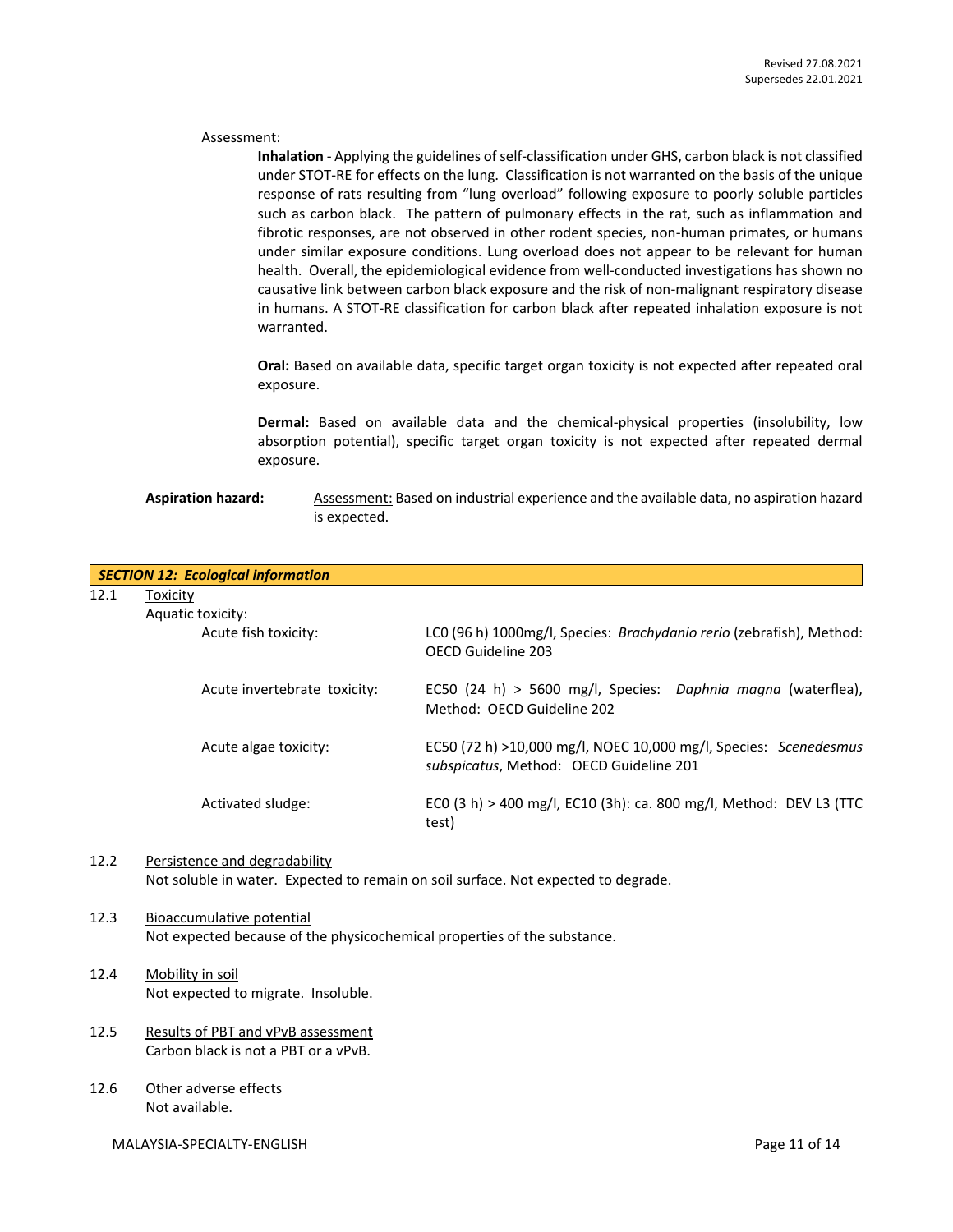#### Assessment:

**Inhalation** - Applying the guidelines of self-classification under GHS, carbon black is not classified under STOT-RE for effects on the lung. Classification is not warranted on the basis of the unique response of rats resulting from "lung overload" following exposure to poorly soluble particles such as carbon black. The pattern of pulmonary effects in the rat, such as inflammation and fibrotic responses, are not observed in other rodent species, non-human primates, or humans under similar exposure conditions. Lung overload does not appear to be relevant for human health. Overall, the epidemiological evidence from well-conducted investigations has shown no causative link between carbon black exposure and the risk of non-malignant respiratory disease in humans. A STOT-RE classification for carbon black after repeated inhalation exposure is not warranted.

**Oral:** Based on available data, specific target organ toxicity is not expected after repeated oral exposure.

**Dermal:** Based on available data and the chemical-physical properties (insolubility, low absorption potential), specific target organ toxicity is not expected after repeated dermal exposure.

# **Aspiration hazard:** Assessment: Based on industrial experience and the available data, no aspiration hazard is expected.

|      | <b>SECTION 12: Ecological information</b>                                                             |                                                                                                             |
|------|-------------------------------------------------------------------------------------------------------|-------------------------------------------------------------------------------------------------------------|
| 12.1 | Toxicity                                                                                              |                                                                                                             |
|      | Aquatic toxicity:                                                                                     |                                                                                                             |
|      | Acute fish toxicity:                                                                                  | LC0 (96 h) 1000mg/l, Species: Brachydanio rerio (zebrafish), Method:<br>OECD Guideline 203                  |
|      | Acute invertebrate toxicity:                                                                          | EC50 (24 h) > 5600 mg/l, Species: Daphnia magna (waterflea),<br>Method: OECD Guideline 202                  |
|      | Acute algae toxicity:                                                                                 | EC50 (72 h) >10,000 mg/l, NOEC 10,000 mg/l, Species: Scenedesmus<br>subspicatus, Method: OECD Guideline 201 |
|      | Activated sludge:                                                                                     | EC0 (3 h) > 400 mg/l, EC10 (3h): ca. 800 mg/l, Method: DEV L3 (TTC<br>test)                                 |
| 12.2 | Persistence and degradability                                                                         | Not soluble in water. Expected to remain on soil surface. Not expected to degrade.                          |
| 12.3 | Bioaccumulative potential<br>Not expected because of the physicochemical properties of the substance. |                                                                                                             |
| 12.4 | Mobility in soil<br>Not expected to migrate. Insoluble.                                               |                                                                                                             |
|      |                                                                                                       |                                                                                                             |
| 12.5 | Results of PBT and vPvB assessment                                                                    |                                                                                                             |
|      | Carbon black is not a PBT or a vPvB.                                                                  |                                                                                                             |

12.6 Other adverse effects Not available.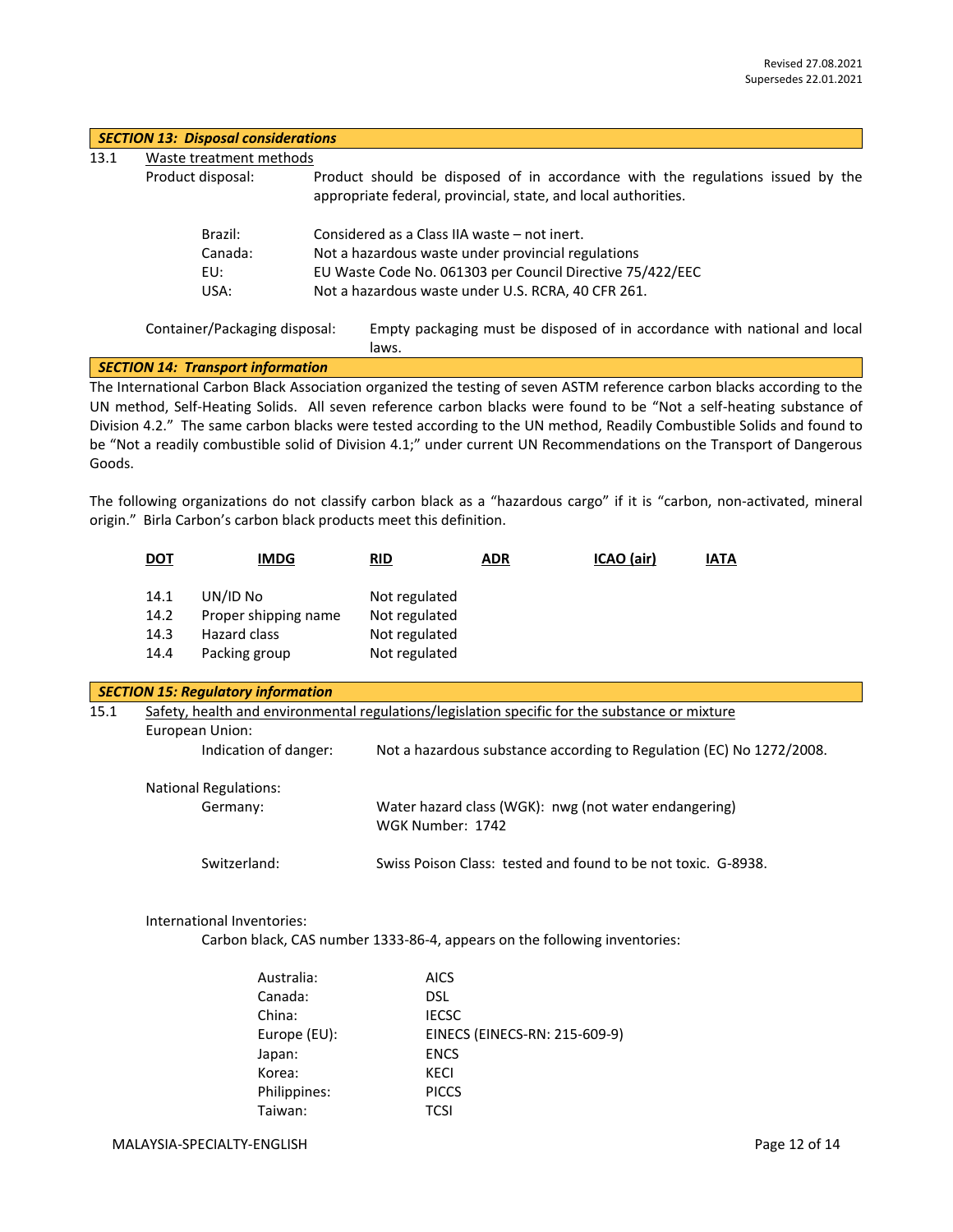|      | <b>SECTION 13: Disposal considerations</b> |                                                                                                                                                                                                                                   |  |  |  |
|------|--------------------------------------------|-----------------------------------------------------------------------------------------------------------------------------------------------------------------------------------------------------------------------------------|--|--|--|
| 13.1 | Waste treatment methods                    |                                                                                                                                                                                                                                   |  |  |  |
|      | Product disposal:                          | Product should be disposed of in accordance with the regulations issued by the<br>appropriate federal, provincial, state, and local authorities.                                                                                  |  |  |  |
|      | Brazil:                                    | Considered as a Class IIA waste – not inert.                                                                                                                                                                                      |  |  |  |
|      | Canada:                                    | Not a hazardous waste under provincial regulations                                                                                                                                                                                |  |  |  |
|      | EU:                                        | EU Waste Code No. 061303 per Council Directive 75/422/EEC                                                                                                                                                                         |  |  |  |
|      | USA:                                       | Not a hazardous waste under U.S. RCRA, 40 CFR 261.                                                                                                                                                                                |  |  |  |
|      | Container/Packaging disposal:              | Empty packaging must be disposed of in accordance with national and local<br>laws.                                                                                                                                                |  |  |  |
|      | <b>SECTION 14: Transport information</b>   |                                                                                                                                                                                                                                   |  |  |  |
|      |                                            | The International Carbon Black Association organized the testing of seven ASTM reference carbon blacks according to the                                                                                                           |  |  |  |
|      |                                            | $\mathbf{u}$ , and the intervals are the contract of the contract of the contract of the contract of the contract of the contract of the contract of the contract of the contract of the contract of the contract of the contract |  |  |  |

UN method, Self-Heating Solids. All seven reference carbon blacks were found to be "Not a self-heating substance of Division 4.2." The same carbon blacks were tested according to the UN method, Readily Combustible Solids and found to be "Not a readily combustible solid of Division 4.1;" under current UN Recommendations on the Transport of Dangerous Goods.

The following organizations do not classify carbon black as a "hazardous cargo" if it is "carbon, non-activated, mineral origin." Birla Carbon's carbon black products meet this definition.

|      | <b>DOT</b>                                                                                                                                                                                                         | <b>IMDG</b>                                                       | <b>RID</b>                                                       | <b>ADR</b> | ICAO (air)                                                    | <b>IATA</b> |
|------|--------------------------------------------------------------------------------------------------------------------------------------------------------------------------------------------------------------------|-------------------------------------------------------------------|------------------------------------------------------------------|------------|---------------------------------------------------------------|-------------|
|      | 14.1<br>14.2<br>14.3<br>14.4                                                                                                                                                                                       | UN/ID No<br>Proper shipping name<br>Hazard class<br>Packing group | Not regulated<br>Not regulated<br>Not regulated<br>Not regulated |            |                                                               |             |
|      |                                                                                                                                                                                                                    | <b>SECTION 15: Regulatory information</b>                         |                                                                  |            |                                                               |             |
| 15.1 | Safety, health and environmental regulations/legislation specific for the substance or mixture<br>European Union:<br>Indication of danger:<br>Not a hazardous substance according to Regulation (EC) No 1272/2008. |                                                                   |                                                                  |            |                                                               |             |
|      |                                                                                                                                                                                                                    | <b>National Regulations:</b><br>Germany:                          | WGK Number: 1742                                                 |            | Water hazard class (WGK): nwg (not water endangering)         |             |
|      |                                                                                                                                                                                                                    | Switzerland:                                                      |                                                                  |            | Swiss Poison Class: tested and found to be not toxic. G-8938. |             |

# International Inventories:

Carbon black, CAS number 1333-86-4, appears on the following inventories:

| Australia:   | <b>AICS</b>                   |
|--------------|-------------------------------|
| Canada:      | <b>DSL</b>                    |
| China:       | <b>IECSC</b>                  |
| Europe (EU): | EINECS (EINECS-RN: 215-609-9) |
| Japan:       | <b>ENCS</b>                   |
| Korea:       | KECI                          |
| Philippines: | <b>PICCS</b>                  |
| Taiwan:      | <b>TCSI</b>                   |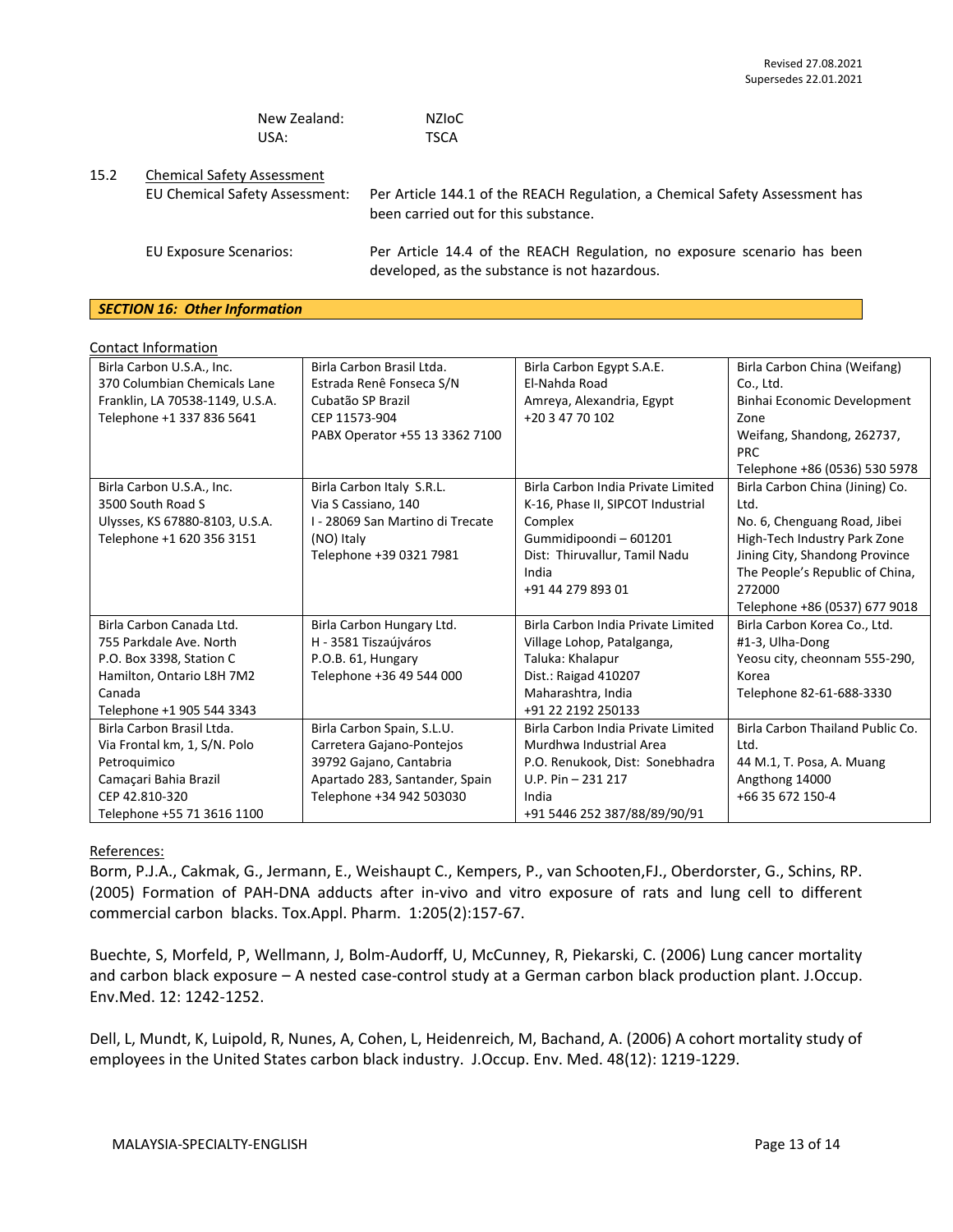| New Zealand: | <b>NZIOC</b> |
|--------------|--------------|
| USA:         | <b>TSCA</b>  |

# 15.2 Chemical Safety Assessment

EU Chemical Safety Assessment: Per Article 144.1 of the REACH Regulation, a Chemical Safety Assessment has been carried out for this substance. EU Exposure Scenarios: Per Article 14.4 of the REACH Regulation, no exposure scenario has been developed, as the substance is not hazardous.

## *SECTION 16: Other Information*

| <b>Contact Information</b>      |                                  |                                    |                                          |
|---------------------------------|----------------------------------|------------------------------------|------------------------------------------|
| Birla Carbon U.S.A., Inc.       | Birla Carbon Brasil Ltda.        | Birla Carbon Egypt S.A.E.          | Birla Carbon China (Weifang)             |
| 370 Columbian Chemicals Lane    | Estrada Renê Fonseca S/N         | El-Nahda Road                      | Co., Ltd.                                |
| Franklin, LA 70538-1149, U.S.A. | Cubatão SP Brazil                | Amreya, Alexandria, Egypt          | Binhai Economic Development              |
| Telephone +1 337 836 5641       | CEP 11573-904                    | +20 3 47 70 102                    | Zone                                     |
|                                 | PABX Operator +55 13 3362 7100   |                                    | Weifang, Shandong, 262737,<br><b>PRC</b> |
|                                 |                                  |                                    | Telephone +86 (0536) 530 5978            |
| Birla Carbon U.S.A., Inc.       | Birla Carbon Italy S.R.L.        | Birla Carbon India Private Limited | Birla Carbon China (Jining) Co.          |
| 3500 South Road S               | Via S Cassiano, 140              | K-16, Phase II, SIPCOT Industrial  | Ltd.                                     |
| Ulysses, KS 67880-8103, U.S.A.  | I - 28069 San Martino di Trecate | Complex                            | No. 6, Chenguang Road, Jibei             |
| Telephone +1 620 356 3151       | (NO) Italy                       | Gummidipoondi-601201               | High-Tech Industry Park Zone             |
|                                 | Telephone +39 0321 7981          | Dist: Thiruvallur, Tamil Nadu      | Jining City, Shandong Province           |
|                                 |                                  | India                              | The People's Republic of China,          |
|                                 |                                  | +91 44 279 893 01                  | 272000                                   |
|                                 |                                  |                                    | Telephone +86 (0537) 677 9018            |
| Birla Carbon Canada Ltd.        | Birla Carbon Hungary Ltd.        | Birla Carbon India Private Limited | Birla Carbon Korea Co., Ltd.             |
| 755 Parkdale Ave. North         | H - 3581 Tiszaújváros            | Village Lohop, Patalganga,         | #1-3, Ulha-Dong                          |
| P.O. Box 3398, Station C        | P.O.B. 61, Hungary               | Taluka: Khalapur                   | Yeosu city, cheonnam 555-290,            |
| Hamilton, Ontario L8H 7M2       | Telephone +36 49 544 000         | Dist.: Raigad 410207               | Korea                                    |
| Canada                          |                                  | Maharashtra, India                 | Telephone 82-61-688-3330                 |
| Telephone +1 905 544 3343       |                                  | +91 22 2192 250133                 |                                          |
| Birla Carbon Brasil Ltda.       | Birla Carbon Spain, S.L.U.       | Birla Carbon India Private Limited | Birla Carbon Thailand Public Co.         |
| Via Frontal km, 1, S/N. Polo    | Carretera Gajano-Pontejos        | Murdhwa Industrial Area            | Ltd.                                     |
| Petroquimico                    | 39792 Gajano, Cantabria          | P.O. Renukook, Dist: Sonebhadra    | 44 M.1, T. Posa, A. Muang                |
| Camaçari Bahia Brazil           | Apartado 283, Santander, Spain   | $U.P. Pin - 231 217$               | Angthong 14000                           |
| CEP 42.810-320                  | Telephone +34 942 503030         | India                              | +66 35 672 150-4                         |
| Telephone +55 71 3616 1100      |                                  | +91 5446 252 387/88/89/90/91       |                                          |

# References:

Borm, P.J.A., Cakmak, G., Jermann, E., Weishaupt C., Kempers, P., van Schooten,FJ., Oberdorster, G., Schins, RP. (2005) Formation of PAH-DNA adducts after in-vivo and vitro exposure of rats and lung cell to different commercial carbon blacks. Tox.Appl. Pharm. 1:205(2):157-67.

Buechte, S, Morfeld, P, Wellmann, J, Bolm-Audorff, U, McCunney, R, Piekarski, C. (2006) Lung cancer mortality and carbon black exposure – A nested case-control study at a German carbon black production plant. J.Occup. Env.Med. 12: 1242-1252.

Dell, L, Mundt, K, Luipold, R, Nunes, A, Cohen, L, Heidenreich, M, Bachand, A. (2006) A cohort mortality study of employees in the United States carbon black industry. J.Occup. Env. Med. 48(12): 1219-1229.